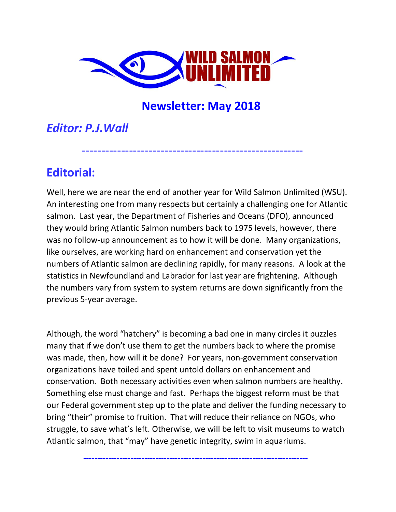

--------------------------------------------------------

# **Newsletter: May 2018**

# *Editor: P.J.Wall*

# **Editorial:**

Well, here we are near the end of another year for Wild Salmon Unlimited (WSU). An interesting one from many respects but certainly a challenging one for Atlantic salmon. Last year, the Department of Fisheries and Oceans (DFO), announced they would bring Atlantic Salmon numbers back to 1975 levels, however, there was no follow-up announcement as to how it will be done. Many organizations, like ourselves, are working hard on enhancement and conservation yet the numbers of Atlantic salmon are declining rapidly, for many reasons. A look at the statistics in Newfoundland and Labrador for last year are frightening. Although the numbers vary from system to system returns are down significantly from the previous 5-year average.

Although, the word "hatchery" is becoming a bad one in many circles it puzzles many that if we don't use them to get the numbers back to where the promise was made, then, how will it be done? For years, non-government conservation organizations have toiled and spent untold dollars on enhancement and conservation. Both necessary activities even when salmon numbers are healthy. Something else must change and fast. Perhaps the biggest reform must be that our Federal government step up to the plate and deliver the funding necessary to bring "their" promise to fruition. That will reduce their reliance on NGOs, who struggle, to save what's left. Otherwise, we will be left to visit museums to watch Atlantic salmon, that "may" have genetic integrity, swim in aquariums.

 **---------------------------------------------------------------------------------**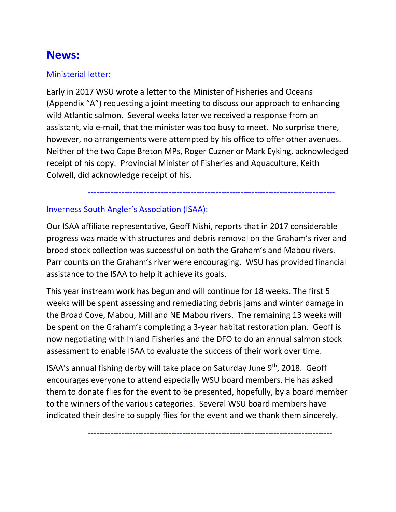# **News:**

## Ministerial letter:

Early in 2017 WSU wrote a letter to the Minister of Fisheries and Oceans (Appendix "A") requesting a joint meeting to discuss our approach to enhancing wild Atlantic salmon. Several weeks later we received a response from an assistant, via e-mail, that the minister was too busy to meet. No surprise there, however, no arrangements were attempted by his office to offer other avenues. Neither of the two Cape Breton MPs, Roger Cuzner or Mark Eyking, acknowledged receipt of his copy. Provincial Minister of Fisheries and Aquaculture, Keith Colwell, did acknowledge receipt of his.

 **-----------------------------------------------------------------------------------------**

## Inverness South Angler's Association (ISAA):

Our ISAA affiliate representative, Geoff Nishi, reports that in 2017 considerable progress was made with structures and debris removal on the Graham's river and brood stock collection was successful on both the Graham's and Mabou rivers. Parr counts on the Graham's river were encouraging. WSU has provided financial assistance to the ISAA to help it achieve its goals.

This year instream work has begun and will continue for 18 weeks. The first 5 weeks will be spent assessing and remediating debris jams and winter damage in the Broad Cove, Mabou, Mill and NE Mabou rivers. The remaining 13 weeks will be spent on the Graham's completing a 3-year habitat restoration plan. Geoff is now negotiating with Inland Fisheries and the DFO to do an annual salmon stock assessment to enable ISAA to evaluate the success of their work over time.

ISAA's annual fishing derby will take place on Saturday June 9<sup>th</sup>, 2018. Geoff encourages everyone to attend especially WSU board members. He has asked them to donate flies for the event to be presented, hopefully, by a board member to the winners of the various categories. Several WSU board members have indicated their desire to supply flies for the event and we thank them sincerely.

 **----------------------------------------------------------------------------------------**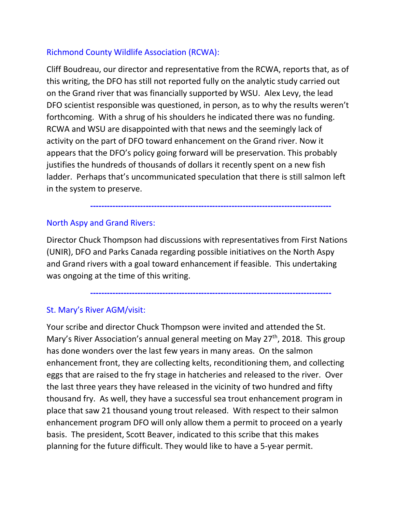## Richmond County Wildlife Association (RCWA):

Cliff Boudreau, our director and representative from the RCWA, reports that, as of this writing, the DFO has still not reported fully on the analytic study carried out on the Grand river that was financially supported by WSU. Alex Levy, the lead DFO scientist responsible was questioned, in person, as to why the results weren't forthcoming. With a shrug of his shoulders he indicated there was no funding. RCWA and WSU are disappointed with that news and the seemingly lack of activity on the part of DFO toward enhancement on the Grand river. Now it appears that the DFO's policy going forward will be preservation. This probably justifies the hundreds of thousands of dollars it recently spent on a new fish ladder. Perhaps that's uncommunicated speculation that there is still salmon left in the system to preserve.

## North Aspy and Grand Rivers:

Director Chuck Thompson had discussions with representatives from First Nations (UNIR), DFO and Parks Canada regarding possible initiatives on the North Aspy and Grand rivers with a goal toward enhancement if feasible. This undertaking was ongoing at the time of this writing.

 **---------------------------------------------------------------------------------------**

 **---------------------------------------------------------------------------------------**

## St. Mary's River AGM/visit:

Your scribe and director Chuck Thompson were invited and attended the St. Mary's River Association's annual general meeting on May 27<sup>th</sup>, 2018. This group has done wonders over the last few years in many areas. On the salmon enhancement front, they are collecting kelts, reconditioning them, and collecting eggs that are raised to the fry stage in hatcheries and released to the river. Over the last three years they have released in the vicinity of two hundred and fifty thousand fry. As well, they have a successful sea trout enhancement program in place that saw 21 thousand young trout released. With respect to their salmon enhancement program DFO will only allow them a permit to proceed on a yearly basis. The president, Scott Beaver, indicated to this scribe that this makes planning for the future difficult. They would like to have a 5-year permit.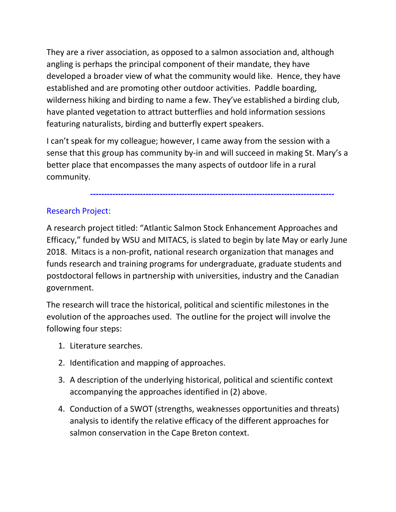They are a river association, as opposed to a salmon association and, although angling is perhaps the principal component of their mandate, they have developed a broader view of what the community would like. Hence, they have established and are promoting other outdoor activities. Paddle boarding, wilderness hiking and birding to name a few. They've established a birding club, have planted vegetation to attract butterflies and hold information sessions featuring naturalists, birding and butterfly expert speakers.

I can't speak for my colleague; however, I came away from the session with a sense that this group has community by-in and will succeed in making St. Mary's a better place that encompasses the many aspects of outdoor life in a rural community.

#### **----------------------------------------------------------------------------------------**

## Research Project:

A research project titled: "Atlantic Salmon Stock Enhancement Approaches and Efficacy," funded by WSU and MITACS, is slated to begin by late May or early June 2018. Mitacs is a non-profit, national research organization that manages and funds research and training programs for undergraduate, graduate students and postdoctoral fellows in partnership with universities, industry and the Canadian government.

The research will trace the historical, political and scientific milestones in the evolution of the approaches used. The outline for the project will involve the following four steps:

- 1. Literature searches.
- 2. Identification and mapping of approaches.
- 3. A description of the underlying historical, political and scientific context accompanying the approaches identified in (2) above.
- 4. Conduction of a SWOT (strengths, weaknesses opportunities and threats) analysis to identify the relative efficacy of the different approaches for salmon conservation in the Cape Breton context.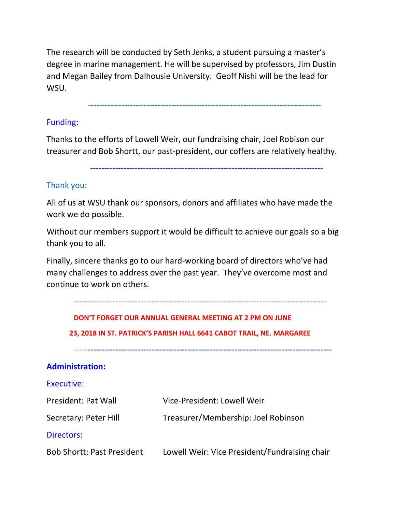The research will be conducted by Seth Jenks, a student pursuing a master's degree in marine management. He will be supervised by professors, Jim Dustin and Megan Bailey from Dalhousie University. Geoff Nishi will be the lead for WSU.

**------------------------------------------------------------------------------------**

#### Funding:

Thanks to the efforts of Lowell Weir, our fundraising chair, Joel Robison our treasurer and Bob Shortt, our past-president, our coffers are relatively healthy.

 **------------------------------------------------------------------------------------**

#### Thank you:

All of us at WSU thank our sponsors, donors and affiliates who have made the work we do possible.

Without our members support it would be difficult to achieve our goals so a big thank you to all.

Finally, sincere thanks go to our hard-working board of directors who've had many challenges to address over the past year. They've overcome most and continue to work on others.

| DON'T FORGET OUR ANNUAL GENERAL MEETING AT 2 PM ON JUNE<br>23, 2018 IN ST. PATRICK'S PARISH HALL 6641 CABOT TRAIL, NE. MARGAREE |                                               |  |
|---------------------------------------------------------------------------------------------------------------------------------|-----------------------------------------------|--|
| <b>Administration:</b>                                                                                                          |                                               |  |
| Executive:                                                                                                                      |                                               |  |
| President: Pat Wall                                                                                                             | Vice-President: Lowell Weir                   |  |
| Secretary: Peter Hill                                                                                                           | Treasurer/Membership: Joel Robinson           |  |
| Directors:                                                                                                                      |                                               |  |
| <b>Bob Shortt: Past President</b>                                                                                               | Lowell Weir: Vice President/Fundraising chair |  |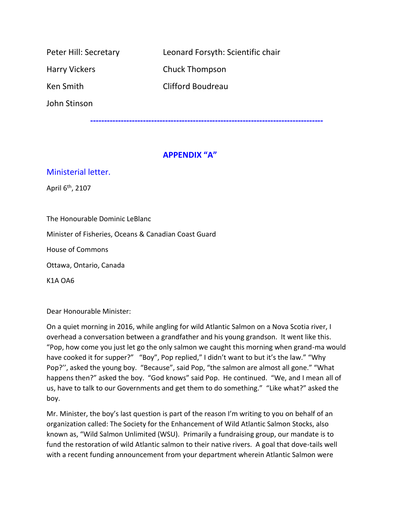| Peter Hill: Secretary | Leonard Forsyth: Scientific chair |
|-----------------------|-----------------------------------|
| <b>Harry Vickers</b>  | <b>Chuck Thompson</b>             |
| Ken Smith             | Clifford Boudreau                 |
| John Stinson          |                                   |

#### **APPENDIX "A"**

 **------------------------------------------------------------------------------------**

#### Ministerial letter.

April 6<sup>th</sup>, 2107

The Honourable Dominic LeBlanc

Minister of Fisheries, Oceans & Canadian Coast Guard

House of Commons

Ottawa, Ontario, Canada

K1A OA6

Dear Honourable Minister:

On a quiet morning in 2016, while angling for wild Atlantic Salmon on a Nova Scotia river, I overhead a conversation between a grandfather and his young grandson. It went like this. "Pop, how come you just let go the only salmon we caught this morning when grand-ma would have cooked it for supper?" "Boy", Pop replied," I didn't want to but it's the law." "Why Pop?'', asked the young boy. "Because", said Pop, "the salmon are almost all gone." "What happens then?" asked the boy. "God knows" said Pop. He continued. "We, and I mean all of us, have to talk to our Governments and get them to do something." "Like what?" asked the boy.

Mr. Minister, the boy's last question is part of the reason I'm writing to you on behalf of an organization called: The Society for the Enhancement of Wild Atlantic Salmon Stocks, also known as, "Wild Salmon Unlimited (WSU). Primarily a fundraising group, our mandate is to fund the restoration of wild Atlantic salmon to their native rivers. A goal that dove-tails well with a recent funding announcement from your department wherein Atlantic Salmon were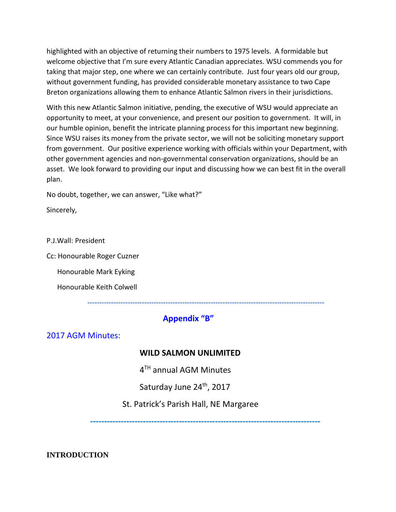highlighted with an objective of returning their numbers to 1975 levels. A formidable but welcome objective that I'm sure every Atlantic Canadian appreciates. WSU commends you for taking that major step, one where we can certainly contribute. Just four years old our group, without government funding, has provided considerable monetary assistance to two Cape Breton organizations allowing them to enhance Atlantic Salmon rivers in their jurisdictions.

With this new Atlantic Salmon initiative, pending, the executive of WSU would appreciate an opportunity to meet, at your convenience, and present our position to government. It will, in our humble opinion, benefit the intricate planning process for this important new beginning. Since WSU raises its money from the private sector, we will not be soliciting monetary support from government. Our positive experience working with officials within your Department, with other government agencies and non-governmental conservation organizations, should be an asset. We look forward to providing our input and discussing how we can best fit in the overall plan.

No doubt, together, we can answer, "Like what?"

Sincerely,

P.J.Wall: President

Cc: Honourable Roger Cuzner

Honourable Mark Eyking

Honourable Keith Colwell

## **Appendix "B"**

**----------------------------------------------------------------------------------------------------**

2017 AGM Minutes:

#### **WILD SALMON UNLIMITED**

4<sup>TH</sup> annual AGM Minutes

Saturday June 24<sup>th</sup>, 2017

St. Patrick's Parish Hall, NE Margaree

 **-----------------------------------------------------------------------------------**

**INTRODUCTION**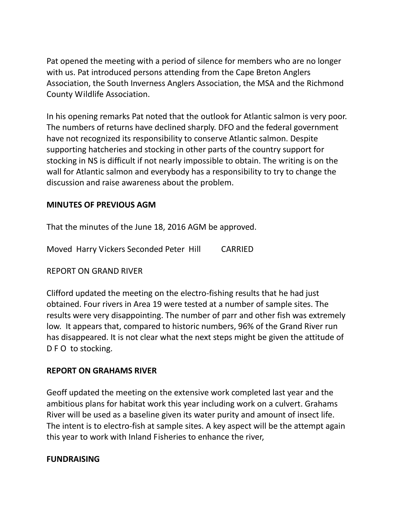Pat opened the meeting with a period of silence for members who are no longer with us. Pat introduced persons attending from the Cape Breton Anglers Association, the South Inverness Anglers Association, the MSA and the Richmond County Wildlife Association.

In his opening remarks Pat noted that the outlook for Atlantic salmon is very poor. The numbers of returns have declined sharply. DFO and the federal government have not recognized its responsibility to conserve Atlantic salmon. Despite supporting hatcheries and stocking in other parts of the country support for stocking in NS is difficult if not nearly impossible to obtain. The writing is on the wall for Atlantic salmon and everybody has a responsibility to try to change the discussion and raise awareness about the problem.

#### **MINUTES OF PREVIOUS AGM**

That the minutes of the June 18, 2016 AGM be approved.

Moved Harry Vickers Seconded Peter Hill CARRIED

REPORT ON GRAND RIVER

Clifford updated the meeting on the electro-fishing results that he had just obtained. Four rivers in Area 19 were tested at a number of sample sites. The results were very disappointing. The number of parr and other fish was extremely low. It appears that, compared to historic numbers, 96% of the Grand River run has disappeared. It is not clear what the next steps might be given the attitude of D F O to stocking.

#### **REPORT ON GRAHAMS RIVER**

Geoff updated the meeting on the extensive work completed last year and the ambitious plans for habitat work this year including work on a culvert. Grahams River will be used as a baseline given its water purity and amount of insect life. The intent is to electro-fish at sample sites. A key aspect will be the attempt again this year to work with Inland Fisheries to enhance the river,

#### **FUNDRAISING**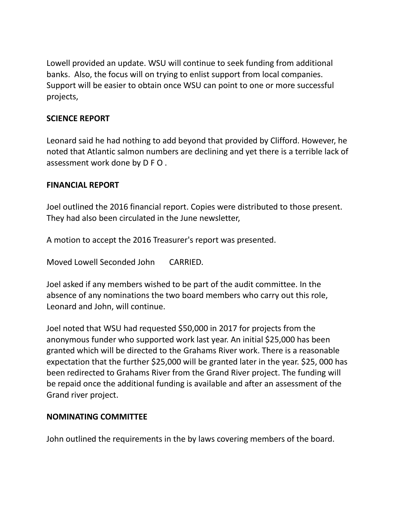Lowell provided an update. WSU will continue to seek funding from additional banks. Also, the focus will on trying to enlist support from local companies. Support will be easier to obtain once WSU can point to one or more successful projects,

## **SCIENCE REPORT**

Leonard said he had nothing to add beyond that provided by Clifford. However, he noted that Atlantic salmon numbers are declining and yet there is a terrible lack of assessment work done by D F O .

## **FINANCIAL REPORT**

Joel outlined the 2016 financial report. Copies were distributed to those present. They had also been circulated in the June newsletter,

A motion to accept the 2016 Treasurer's report was presented.

Moved Lowell Seconded John CARRIED.

Joel asked if any members wished to be part of the audit committee. In the absence of any nominations the two board members who carry out this role, Leonard and John, will continue.

Joel noted that WSU had requested \$50,000 in 2017 for projects from the anonymous funder who supported work last year. An initial \$25,000 has been granted which will be directed to the Grahams River work. There is a reasonable expectation that the further \$25,000 will be granted later in the year. \$25, 000 has been redirected to Grahams River from the Grand River project. The funding will be repaid once the additional funding is available and after an assessment of the Grand river project.

#### **NOMINATING COMMITTEE**

John outlined the requirements in the by laws covering members of the board.